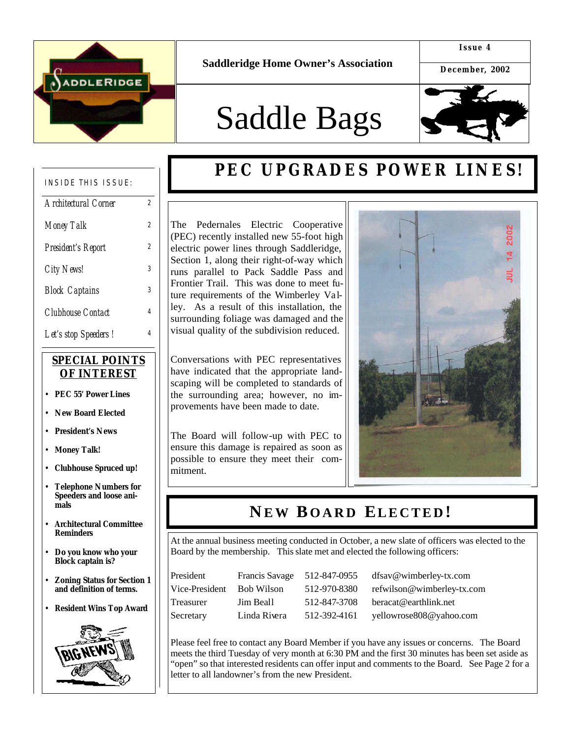

**Saddleridge Home Owner's Association**

**Issue 4**

**December, 2002**

# Saddle Bags



### INSIDE THIS ISSUE:

| Architectural Corner  | 2 |
|-----------------------|---|
| <b>Money Talk</b>     | 2 |
| President's Report    | 2 |
| <b>City News!</b>     | 3 |
| <b>Block Captains</b> | 3 |
| Clubhouse Contact     | 4 |
| Let's stop Speeders!  | 4 |

#### *SPECIAL POINTS OF INTEREST*

- **PEC 55' Power Lines**
- **New Board Elected**
- **President's News**
- **Money Talk!**
- **Clubhouse Spruced up!**
- **Telephone Numbers for Speeders and loose animals**
- **Architectural Committee Reminders**
- **Do you know who your Block captain is?**
- **Zoning Status for Section 1 and definition of terms.**
- **Resident Wins Top Award**



# **PEC UPGRADES POWER LINES!**

The Pedernales Electric Cooperative (PEC) recently installed new 55-foot high electric power lines through Saddleridge, Section 1, along their right-of-way which runs parallel to Pack Saddle Pass and Frontier Trail. This was done to meet future requirements of the Wimberley Valley. As a result of this installation, the surrounding foliage was damaged and the visual quality of the subdivision reduced.

Conversations with PEC representatives have indicated that the appropriate landscaping will be completed to standards of the surrounding area; however, no improvements have been made to date.

The Board will follow-up with PEC to ensure this damage is repaired as soon as possible to ensure they meet their commitment.



### **N E W B OARD ELECTED !**

At the annual business meeting conducted in October, a new slate of officers was elected to the Board by the membership. This slate met and elected the following officers:

| President        | Francis Savage | 512-847-0955 | dfsav@wimberley-tx.com     |
|------------------|----------------|--------------|----------------------------|
| Vice-President   | Bob Wilson     | 512-970-8380 | refwilson@wimberley-tx.com |
| <b>Treasurer</b> | Jim Beall      | 512-847-3708 | beracat@earthlink.net      |
| Secretary        | Linda Rivera   | 512-392-4161 | yellowrose808@yahoo.com    |

Please feel free to contact any Board Member if you have any issues or concerns. The Board meets the third Tuesday of very month at 6:30 PM and the first 30 minutes has been set aside as "open" so that interested residents can offer input and comments to the Board. See Page 2 for a letter to all landowner's from the new President.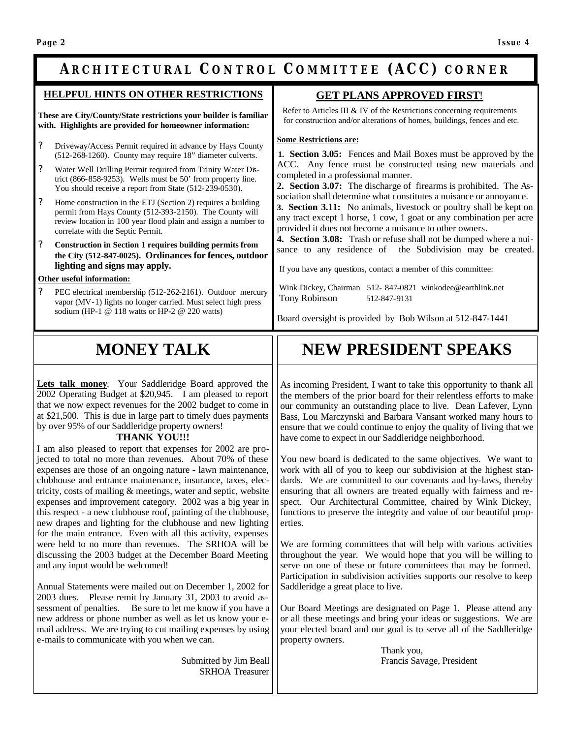### **ARCHITECTURAL C ONTROL C OMMITTEE (ACC) CORNER**

#### **HELPFUL HINTS ON OTHER RESTRICTIONS**

**These are City/County/State restrictions your builder is familiar with. Highlights are provided for homeowner information:**

- ? Driveway/Access Permit required in advance by Hays County (512-268-1260). County may require 18" diameter culverts.
- ? Water Well Drilling Permit required from Trinity Water District (866-858-9253). Wells must be 50' from property line. You should receive a report from State (512-239-0530).
- ? Home construction in the ETJ (Section 2) requires a building permit from Hays County (512-393-2150). The County will review location in 100 year flood plain and assign a number to correlate with the Septic Permit.
- ? **Construction in Section 1 requires building permits from the City (512-847-0025). Ordinances for fences, outdoor lighting and signs may apply.**

#### **Other useful information:**

? PEC electrical membership (512-262-2161). Outdoor mercury vapor (MV-1) lights no longer carried. Must select high press sodium (HP-1 @ 118 watts or HP-2 @ 220 watts)

#### **GET PLANS APPROVED FIRST**!

 Refer to Articles III & IV of the Restrictions concerning requirements for construction and/or alterations of homes, buildings, fences and etc.

#### **Some Restrictions are:**

**1. Section 3.05:** Fences and Mail Boxes must be approved by the ACC. Any fence must be constructed using new materials and completed in a professional manner.

**2. Section 3.07:** The discharge of firearms is prohibited. The Association shall determine what constitutes a nuisance or annoyance.

**3. Section 3.11:** No animals, livestock or poultry shall be kept on any tract except 1 horse, 1 cow, 1 goat or any combination per acre provided it does not become a nuisance to other owners.

**4. Section 3.08:** Trash or refuse shall not be dumped where a nuisance to any residence of the Subdivision may be created.

If you have any questions, contact a member of this committee:

 Wink Dickey, Chairman 512- 847-0821 winkodee@earthlink.net Tony Robinson 512-847-9131

Board oversight is provided by Bob Wilson at 512-847-1441

# **MONEY TALK**

**Lets talk money**. Your Saddleridge Board approved the 2002 Operating Budget at \$20,945. I am pleased to report that we now expect revenues for the 2002 budget to come in at \$21,500. This is due in large part to timely dues payments by over 95% of our Saddleridge property owners!

#### **THANK YOU!!!**

I am also pleased to report that expenses for 2002 are projected to total no more than revenues. About 70% of these expenses are those of an ongoing nature - lawn maintenance, clubhouse and entrance maintenance, insurance, taxes, electricity, costs of mailing & meetings, water and septic, website expenses and improvement category. 2002 was a big year in this respect - a new clubhouse roof, painting of the clubhouse, new drapes and lighting for the clubhouse and new lighting for the main entrance. Even with all this activity, expenses were held to no more than revenues. The SRHOA will be discussing the 2003 budget at the December Board Meeting and any input would be welcomed!

Annual Statements were mailed out on December 1, 2002 for 2003 dues. Please remit by January 31, 2003 to avoid assessment of penalties. Be sure to let me know if you have a new address or phone number as well as let us know your email address. We are trying to cut mailing expenses by using e-mails to communicate with you when we can.

> Submitted by Jim Beall SRHOA Treasurer

# **NEW PRESIDENT SPEAKS**

As incoming President, I want to take this opportunity to thank all the members of the prior board for their relentless efforts to make our community an outstanding place to live. Dean Lafever, Lynn Bass, Lou Marczynski and Barbara Vansant worked many hours to ensure that we could continue to enjoy the quality of living that we have come to expect in our Saddleridge neighborhood.

You new board is dedicated to the same objectives. We want to work with all of you to keep our subdivision at the highest standards. We are committed to our covenants and by-laws, thereby ensuring that all owners are treated equally with fairness and respect. Our Architectural Committee, chaired by Wink Dickey, functions to preserve the integrity and value of our beautiful properties.

We are forming committees that will help with various activities throughout the year. We would hope that you will be willing to serve on one of these or future committees that may be formed. Participation in subdivision activities supports our resolve to keep Saddleridge a great place to live.

Our Board Meetings are designated on Page 1. Please attend any or all these meetings and bring your ideas or suggestions. We are your elected board and our goal is to serve all of the Saddleridge property owners.

> Thank you, Francis Savage, President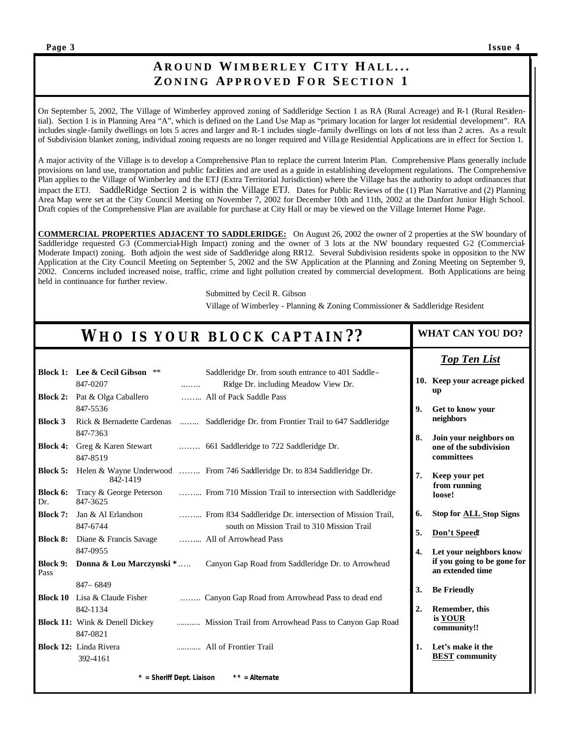**SaddleBags**

### **A ROUND WIMBERLEY C ITY H ALL ... ZONING APPROVED F O R S ECTION 1**

On September 5, 2002, The Village of Wimberley approved zoning of Saddleridge Section 1 as RA (Rural Acreage) and R-1 (Rural Residential). Section 1 is in Planning Area "A", which is defined on the Land Use Map as "primary location for larger lot residential development". RA includes single -family dwellings on lots 5 acres and larger and R-1 includes single -family dwellings on lots of not less than 2 acres. As a result of Subdivision blanket zoning, individual zoning requests are no longer required and Villa ge Residential Applications are in effect for Section 1.

A major activity of the Village is to develop a Comprehensive Plan to replace the current Interim Plan. Comprehensive Plans generally include provisions on land use, transportation and public facilities and are used as a guide in establishing development regulations. The Comprehensive Plan applies to the Village of Wimberley and the ETJ (Extra Territorial Jurisdiction) where the Village has the authority to adopt ordinances that impact the ETJ. SaddleRidge Section 2 is within the Village ETJ. Dates for Public Reviews of the (1) Plan Narrative and (2) Planning Area Map were set at the City Council Meeting on November 7, 2002 for December 10th and 11th, 2002 at the Danfort Junior High School. Draft copies of the Comprehensive Plan are available for purchase at City Hall or may be viewed on the Village Internet Home Page.

**COMMERCIAL PROPERTIES ADJACENT TO SADDLERIDGE:** On August 26, 2002 the owner of 2 properties at the SW boundary of Saddleridge requested C-3 (Commercial-High Impact) zoning and the owner of 3 lots at the NW boundary requested C-2 (Commercial-Moderate Impact) zoning. Both adjoin the west side of Saddleridge along RR12. Several Subdivision residents spoke in opposition to the NW Application at the City Council Meeting on September 5, 2002 and the SW Application at the Planning and Zoning Meeting on September 9, 2002. Concerns included increased noise, traffic, crime and light pollution created by commercial development. Both Applications are being held in continuance for further review.

Submitted by Cecil R. Gibson

Village of Wimberley - Planning & Zoning Commissioner & Saddleridge Resident

| WHO IS YOUR BLOCK CAPTAIN?? |                                                   |   | <b>WHAT CAN YOU DO?</b>                                                                                |                    |                                                                |
|-----------------------------|---------------------------------------------------|---|--------------------------------------------------------------------------------------------------------|--------------------|----------------------------------------------------------------|
|                             |                                                   |   |                                                                                                        |                    | <b>Top Ten List</b>                                            |
|                             | <b>Block 1:</b> Lee & Cecil Gibson **<br>847-0207 | . | Saddleridge Dr. from south entrance to 401 Saddle-<br>Ridge Dr. including Meadow View Dr.              |                    | 10. Keep your acreage picked<br><b>up</b>                      |
| <b>Block 2:</b>             | Pat & Olga Caballero<br>847-5536                  |   | All of Pack Saddle Pass                                                                                | 9.                 | Get to know your                                               |
| <b>Block 3</b>              | 847-7363                                          |   | Rick & Bernadette Cardenas  Saddleridge Dr. from Frontier Trail to 647 Saddleridge                     |                    | neighbors                                                      |
| <b>Block 4:</b>             | Greg & Karen Stewart<br>847-8519                  |   | 661 Saddleridge to 722 Saddleridge Dr.                                                                 | 8.                 | Join your neighbors on<br>one of the subdivision<br>committees |
| <b>Block 5:</b>             | 842-1419                                          |   | Helen & Wayne Underwood  From 746 Saddleridge Dr. to 834 Saddleridge Dr.                               | 7.                 | Keep your pet<br>from running                                  |
| Block 6:<br>Dr.             | Tracy & George Peterson<br>847-3625               |   | From 710 Mission Trail to intersection with Saddleridge                                                |                    | loose!                                                         |
| <b>Block 7:</b>             | Jan & Al Erlandson<br>847-6744                    |   | From 834 Saddleridge Dr. intersection of Mission Trail,<br>south on Mission Trail to 310 Mission Trail | 6.                 | <b>Stop for ALL Stop Signs</b>                                 |
| <b>Block 8:</b>             | Diane & Francis Savage<br>847-0955                |   | All of Arrowhead Pass                                                                                  | 5.<br>$\mathbf{4}$ | Don't Speed!<br>Let your neighbors know                        |
| <b>Block 9:</b><br>Pass     | Donna & Lou Marczynski *                          |   | Canyon Gap Road from Saddleridge Dr. to Arrowhead                                                      |                    | if you going to be gone for<br>an extended time                |
|                             | 847 - 6849                                        |   |                                                                                                        | 3.                 | <b>Be Friendly</b>                                             |
|                             | Block 10 Lisa & Claude Fisher<br>842-1134         |   | Canyon Gap Road from Arrowhead Pass to dead end                                                        | 2.                 | Remember, this                                                 |
|                             | <b>Block 11:</b> Wink & Denell Dickey<br>847-0821 |   | Mission Trail from Arrowhead Pass to Canyon Gap Road                                                   |                    | is YOUR<br>community!!                                         |
|                             | Block 12: Linda Rivera<br>392-4161                |   | All of Frontier Trail                                                                                  | 1.                 | Let's make it the<br><b>BEST</b> community                     |
|                             | $*$ = Sheriff Dept. Liaison                       |   | $**$ = Alternate                                                                                       |                    |                                                                |